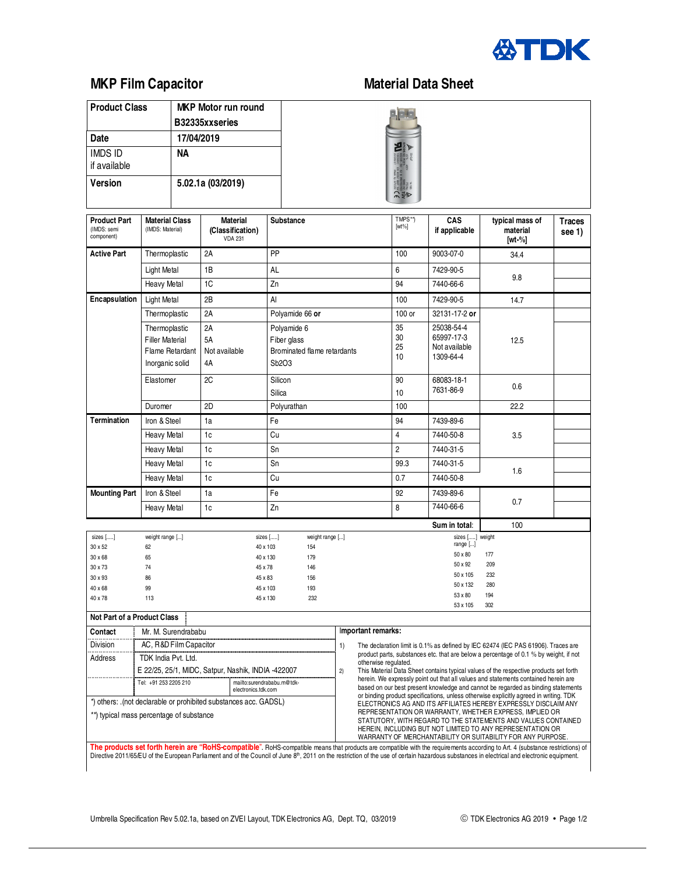

## **MKP Film Capacitor Material Data Sheet**

| <b>Product Class</b>           | <b>MKP Motor run round</b> |  |
|--------------------------------|----------------------------|--|
|                                | B32335xxseries             |  |
| Date                           | 17/04/2019                 |  |
| <b>IMDS ID</b><br>if available | NА                         |  |
| <b>Version</b>                 | 5.02.1a (03/2019)          |  |



| <b>Product Part</b><br>(IMDS: semi<br>component)                                                                                    | <b>Material Class</b><br>(IMDS: Material)                                     | <b>Material</b><br>(Classification)<br><b>VDA 231</b> | <b>Substance</b>                                                                                                      |                                                                                                                                                                                                                                                                                                                                                                                                                                        |                                                                                          | TMPS**)<br>$[wt\%]$     | CAS<br>if applicable                                                                             | typical mass of<br>material<br>[wt-%]  | <b>Traces</b><br>see 1) |  |
|-------------------------------------------------------------------------------------------------------------------------------------|-------------------------------------------------------------------------------|-------------------------------------------------------|-----------------------------------------------------------------------------------------------------------------------|----------------------------------------------------------------------------------------------------------------------------------------------------------------------------------------------------------------------------------------------------------------------------------------------------------------------------------------------------------------------------------------------------------------------------------------|------------------------------------------------------------------------------------------|-------------------------|--------------------------------------------------------------------------------------------------|----------------------------------------|-------------------------|--|
| <b>Active Part</b>                                                                                                                  | Thermoplastic                                                                 | 2A                                                    | PP                                                                                                                    |                                                                                                                                                                                                                                                                                                                                                                                                                                        |                                                                                          | 100                     | 9003-07-0                                                                                        | 34.4                                   |                         |  |
|                                                                                                                                     | Light Metal                                                                   | 1B                                                    | AL                                                                                                                    |                                                                                                                                                                                                                                                                                                                                                                                                                                        |                                                                                          | 6                       | 7429-90-5                                                                                        |                                        |                         |  |
|                                                                                                                                     | <b>Heavy Metal</b>                                                            | 1C                                                    | Zn                                                                                                                    |                                                                                                                                                                                                                                                                                                                                                                                                                                        |                                                                                          | 94                      | 7440-66-6                                                                                        | 9.8                                    |                         |  |
| Encapsulation                                                                                                                       | <b>Light Metal</b>                                                            | 2B                                                    | Al                                                                                                                    |                                                                                                                                                                                                                                                                                                                                                                                                                                        |                                                                                          | 100                     | 7429-90-5                                                                                        | 14.7                                   |                         |  |
|                                                                                                                                     | Thermoplastic                                                                 | 2A                                                    | Polyamide 66 or                                                                                                       |                                                                                                                                                                                                                                                                                                                                                                                                                                        |                                                                                          | 100 or                  | 32131-17-2 or                                                                                    |                                        |                         |  |
|                                                                                                                                     | Thermoplastic<br><b>Filler Material</b><br>Flame Retardant<br>Inorganic solid | 2A<br><b>5A</b><br>Not available<br>4A                | Polyamide 6<br>Fiber glass<br>Brominated flame retardants<br>Sb <sub>2</sub> O <sub>3</sub>                           |                                                                                                                                                                                                                                                                                                                                                                                                                                        |                                                                                          | 35<br>30<br>25<br>10    | 25038-54-4<br>65997-17-3<br>Not available<br>1309-64-4                                           | 12.5                                   |                         |  |
|                                                                                                                                     | Elastomer                                                                     | 2C                                                    | Silicon<br>Silica                                                                                                     |                                                                                                                                                                                                                                                                                                                                                                                                                                        | 90<br>10                                                                                 | 68083-18-1<br>7631-86-9 | 0.6                                                                                              |                                        |                         |  |
|                                                                                                                                     | Duromer                                                                       | 2D                                                    | Polyurathan                                                                                                           |                                                                                                                                                                                                                                                                                                                                                                                                                                        |                                                                                          | 100                     |                                                                                                  | 22.2                                   |                         |  |
| <b>Termination</b>                                                                                                                  | Iron & Steel                                                                  | 1a                                                    | Fe                                                                                                                    |                                                                                                                                                                                                                                                                                                                                                                                                                                        |                                                                                          | 94                      | 7439-89-6                                                                                        |                                        |                         |  |
|                                                                                                                                     | <b>Heavy Metal</b>                                                            | 1 <sub>c</sub>                                        | Cu                                                                                                                    |                                                                                                                                                                                                                                                                                                                                                                                                                                        |                                                                                          | $\overline{4}$          | 7440-50-8                                                                                        | 3.5                                    |                         |  |
|                                                                                                                                     | <b>Heavy Metal</b>                                                            | 1c                                                    | Sn                                                                                                                    |                                                                                                                                                                                                                                                                                                                                                                                                                                        |                                                                                          | $\overline{2}$          | 7440-31-5                                                                                        |                                        |                         |  |
|                                                                                                                                     | <b>Heavy Metal</b>                                                            | 1c                                                    | Sn                                                                                                                    |                                                                                                                                                                                                                                                                                                                                                                                                                                        |                                                                                          | 99.3                    | 7440-31-5                                                                                        |                                        |                         |  |
|                                                                                                                                     | <b>Heavy Metal</b>                                                            | 1c                                                    | Cu                                                                                                                    |                                                                                                                                                                                                                                                                                                                                                                                                                                        |                                                                                          | 0.7                     | 7440-50-8                                                                                        | 1.6                                    |                         |  |
| <b>Mounting Part</b>                                                                                                                | Iron & Steel                                                                  | 1a                                                    | Fe                                                                                                                    |                                                                                                                                                                                                                                                                                                                                                                                                                                        |                                                                                          | 92                      | 7439-89-6                                                                                        |                                        |                         |  |
|                                                                                                                                     | <b>Heavy Metal</b>                                                            | 1c                                                    | Zn                                                                                                                    |                                                                                                                                                                                                                                                                                                                                                                                                                                        |                                                                                          | 8                       | 7440-66-6                                                                                        | 0.7                                    |                         |  |
|                                                                                                                                     |                                                                               |                                                       |                                                                                                                       |                                                                                                                                                                                                                                                                                                                                                                                                                                        |                                                                                          |                         | Sum in total:                                                                                    | 100                                    |                         |  |
| sizes []<br>30 x 52<br>30 x 68<br>30 x 73<br>30 x 93<br>40 x 68<br>40 x 78                                                          | weight range []<br>62<br>65<br>74<br>86<br>99<br>113                          | 45 x 78<br>45 x 83                                    | sizes []<br>weight range []<br>40 x 103<br>154<br>40 x 130<br>179<br>146<br>156<br>45 x 103<br>193<br>45 x 130<br>232 |                                                                                                                                                                                                                                                                                                                                                                                                                                        |                                                                                          |                         | sizes [] weight<br>range []<br>50 x 80<br>50 x 92<br>50 x 105<br>50 x 132<br>53 x 80<br>53 x 105 | 177<br>209<br>232<br>280<br>194<br>302 |                         |  |
| <b>Not Part of a Product Class</b>                                                                                                  |                                                                               |                                                       |                                                                                                                       |                                                                                                                                                                                                                                                                                                                                                                                                                                        |                                                                                          |                         |                                                                                                  |                                        |                         |  |
| Contact                                                                                                                             | Mr. M. Surendrababu                                                           |                                                       |                                                                                                                       |                                                                                                                                                                                                                                                                                                                                                                                                                                        | Important remarks:                                                                       |                         |                                                                                                  |                                        |                         |  |
| Division                                                                                                                            | AC, R&D Film Capacitor                                                        |                                                       |                                                                                                                       | 1)<br>The declaration limit is 0.1% as defined by IEC 62474 (IEC PAS 61906). Traces are<br>product parts, substances etc. that are below a percentage of 0.1 % by weight, if not<br>otherwise regulated.<br>This Material Data Sheet contains typical values of the respective products set forth                                                                                                                                      |                                                                                          |                         |                                                                                                  |                                        |                         |  |
| <b>Address</b>                                                                                                                      | TDK India Pvt. Ltd.<br>E 22/25, 25/1, MIDC, Satpur, Nashik, INDIA -422007     |                                                       |                                                                                                                       |                                                                                                                                                                                                                                                                                                                                                                                                                                        |                                                                                          |                         |                                                                                                  |                                        |                         |  |
|                                                                                                                                     | Tel: +91 253 2205 210                                                         | mailto:surendrababu.m@tdk-                            |                                                                                                                       |                                                                                                                                                                                                                                                                                                                                                                                                                                        | 2)<br>herein. We expressly point out that all values and statements contained herein are |                         |                                                                                                  |                                        |                         |  |
| electronics.tdk.com<br>*) others: .(not declarable or prohibited substances acc. GADSL)<br>**) typical mass percentage of substance |                                                                               |                                                       |                                                                                                                       | based on our best present knowledge and cannot be regarded as binding statements<br>or binding product specifications, unless otherwise explicitly agreed in writing. TDK<br>ELECTRONICS AG AND ITS AFFILIATES HEREBY EXPRESSLY DISCLAIM ANY<br>REPRESENTATION OR WARRANTY, WHETHER EXPRESS, IMPLIED OR<br>STATUTORY, WITH REGARD TO THE STATEMENTS AND VALUES CONTAINED<br>HEREIN, INCLUDING BUT NOT LIMITED TO ANY REPRESENTATION OR |                                                                                          |                         |                                                                                                  |                                        |                         |  |

WARRANTY OF MERCHANTABILITY OR SUITABILITY FOR ANY PURPOSE. The products set forth herein are "RoHS-compatible". RoHS-compatible means that products are compatible with the requirements according to Art. 4 (substance restrictions) of<br>Directive 2011/65/EU of the European Parliament